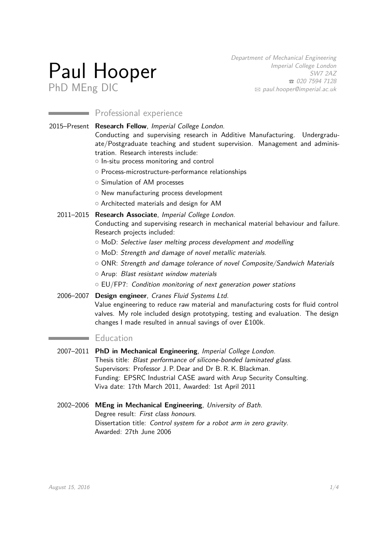# Paul Hooper PhD MEng DIC

Department of Mechanical Engineering Imperial College London SW7 2AZ T 020 7594 7128  $\boxtimes$  [paul.hooper@imperial.ac.uk](mailto:paul.hooper@imperial.ac.uk)

# **Professional experience**

2015–Present **Research Fellow**, Imperial College London. Conducting and supervising research in Additive Manufacturing. Undergraduate/Postgraduate teaching and student supervision. Management and administration. Research interests include:

- o In-situ process monitoring and control
- o Process-microstructure-performance relationships
- $\circ$  Simulation of AM processes
- o New manufacturing process development
- o Architected materials and design for AM

#### 2011–2015 **Research Associate**, Imperial College London.

Conducting and supervising research in mechanical material behaviour and failure. Research projects included:

- o MoD: Selective laser melting process development and modelling
- $\circ$  MoD: Strength and damage of novel metallic materials.
- $\circ$  ONR: Strength and damage tolerance of novel Composite/Sandwich Materials
- $\circ$  Arup: Blast resistant window materials
- $\circ$  EU/FP7: Condition monitoring of next generation power stations
- 2006–2007 **Design engineer**, Cranes Fluid Systems Ltd.

Value engineering to reduce raw material and manufacturing costs for fluid control valves. My role included design prototyping, testing and evaluation. The design changes I made resulted in annual savings of over £100k.

## **Education**

- 2007–2011 **PhD in Mechanical Engineering**, Imperial College London. Thesis title: Blast performance of silicone-bonded laminated glass. Supervisors: Professor J. P. Dear and Dr B. R. K. Blackman. Funding: EPSRC Industrial CASE award with Arup Security Consulting. Viva date: 17th March 2011, Awarded: 1st April 2011
- 2002–2006 **MEng in Mechanical Engineering**, University of Bath. Degree result: First class honours. Dissertation title: Control system for a robot arm in zero gravity. Awarded: 27th June 2006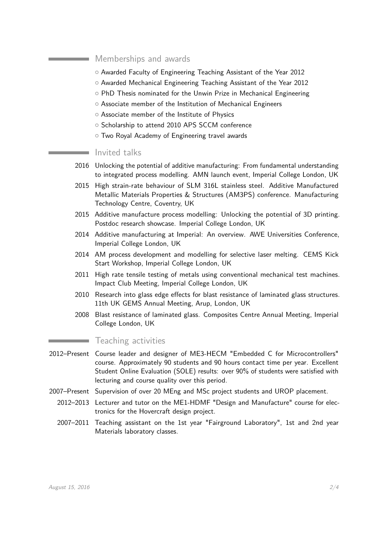## Memberships and awards

- $\circ$  Awarded Faculty of Engineering Teaching Assistant of the Year 2012
- $\circ$  Awarded Mechanical Engineering Teaching Assistant of the Year 2012
- o PhD Thesis nominated for the Unwin Prize in Mechanical Engineering
- $\circ$  Associate member of the Institution of Mechanical Engineers
- o Associate member of the Institute of Physics
- $\circ$  Scholarship to attend 2010 APS SCCM conference
- o Two Royal Academy of Engineering travel awards

#### Invited talks

- 2016 Unlocking the potential of additive manufacturing: From fundamental understanding to integrated process modelling. AMN launch event, Imperial College London, UK
- 2015 High strain-rate behaviour of SLM 316L stainless steel. Additive Manufactured Metallic Materials Properties & Structures (AM3PS) conference. Manufacturing Technology Centre, Coventry, UK
- 2015 Additive manufacture process modelling: Unlocking the potential of 3D printing. Postdoc research showcase. Imperial College London, UK
- 2014 Additive manufacturing at Imperial: An overview. AWE Universities Conference, Imperial College London, UK
- 2014 AM process development and modelling for selective laser melting. CEMS Kick Start Workshop, Imperial College London, UK
- 2011 High rate tensile testing of metals using conventional mechanical test machines. Impact Club Meeting, Imperial College London, UK
- 2010 Research into glass edge effects for blast resistance of laminated glass structures. 11th UK GEMS Annual Meeting, Arup, London, UK
- 2008 Blast resistance of laminated glass. Composites Centre Annual Meeting, Imperial College London, UK

#### Teaching activities

- 2012–Present Course leader and designer of ME3-HECM "Embedded C for Microcontrollers" course. Approximately 90 students and 90 hours contact time per year. Excellent Student Online Evaluation (SOLE) results: over 90% of students were satisfied with lecturing and course quality over this period.
- 2007–Present Supervision of over 20 MEng and MSc project students and UROP placement.
	- 2012–2013 Lecturer and tutor on the ME1-HDMF "Design and Manufacture" course for electronics for the Hovercraft design project.
	- 2007–2011 Teaching assistant on the 1st year "Fairground Laboratory", 1st and 2nd year Materials laboratory classes.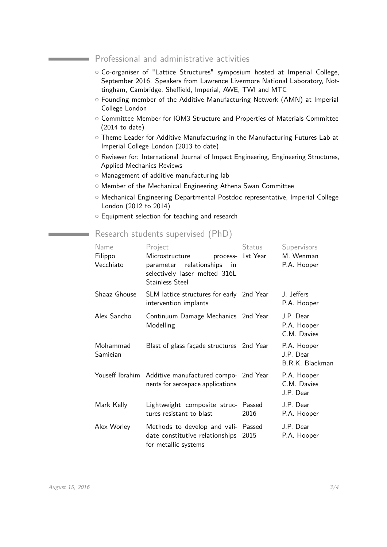### Professional and administrative activities

- { Co-organiser of "Lattice Structures" symposium hosted at Imperial College, September 2016. Speakers from Lawrence Livermore National Laboratory, Nottingham, Cambridge, Sheffield, Imperial, AWE, TWI and MTC
- $\circ$  Founding member of the Additive Manufacturing Network (AMN) at Imperial College London
- $\circ$  Committee Member for IOM3 Structure and Properties of Materials Committee (2014 to date)
- o Theme Leader for Additive Manufacturing in the Manufacturing Futures Lab at Imperial College London (2013 to date)
- { Reviewer for: International Journal of Impact Engineering, Engineering Structures, Applied Mechanics Reviews
- o Management of additive manufacturing lab
- $\circ$  Member of the Mechanical Engineering Athena Swan Committee
- { Mechanical Engineering Departmental Postdoc representative, Imperial College London (2012 to 2014)
- $\circ$  Equipment selection for teaching and research

## Research students supervised (PhD)

| Name                 | Project                                                                                                       | <b>Status</b>     | Supervisors                                 |
|----------------------|---------------------------------------------------------------------------------------------------------------|-------------------|---------------------------------------------|
| Filippo<br>Vecchiato | Microstructure<br>relationships<br>parameter<br>in<br>selectively laser melted 316L<br><b>Stainless Steel</b> | process- 1st Year | M. Wenman<br>P.A. Hooper                    |
| Shaaz Ghouse         | SLM lattice structures for early 2nd Year<br>intervention implants                                            |                   | J. Jeffers<br>P.A. Hooper                   |
| Alex Sancho          | Continuum Damage Mechanics 2nd Year<br>Modelling                                                              |                   | J.P. Dear<br>P.A. Hooper<br>C.M. Davies     |
| Mohammad<br>Samieian | Blast of glass façade structures 2nd Year                                                                     |                   | P.A. Hooper<br>J.P. Dear<br>B.R.K. Blackman |
|                      | Youseff Ibrahim Additive manufactured compo- 2nd Year<br>nents for aerospace applications                     |                   | P.A. Hooper<br>C.M. Davies<br>J.P. Dear     |
| Mark Kelly           | Lightweight composite struc- Passed<br>tures resistant to blast                                               | 2016              | J.P. Dear<br>P.A. Hooper                    |
| Alex Worley          | Methods to develop and vali- Passed<br>date constitutive relationships<br>for metallic systems                | 2015              | J.P. Dear<br>P.A. Hooper                    |

<u> Tanzania (h. 1888).</u>